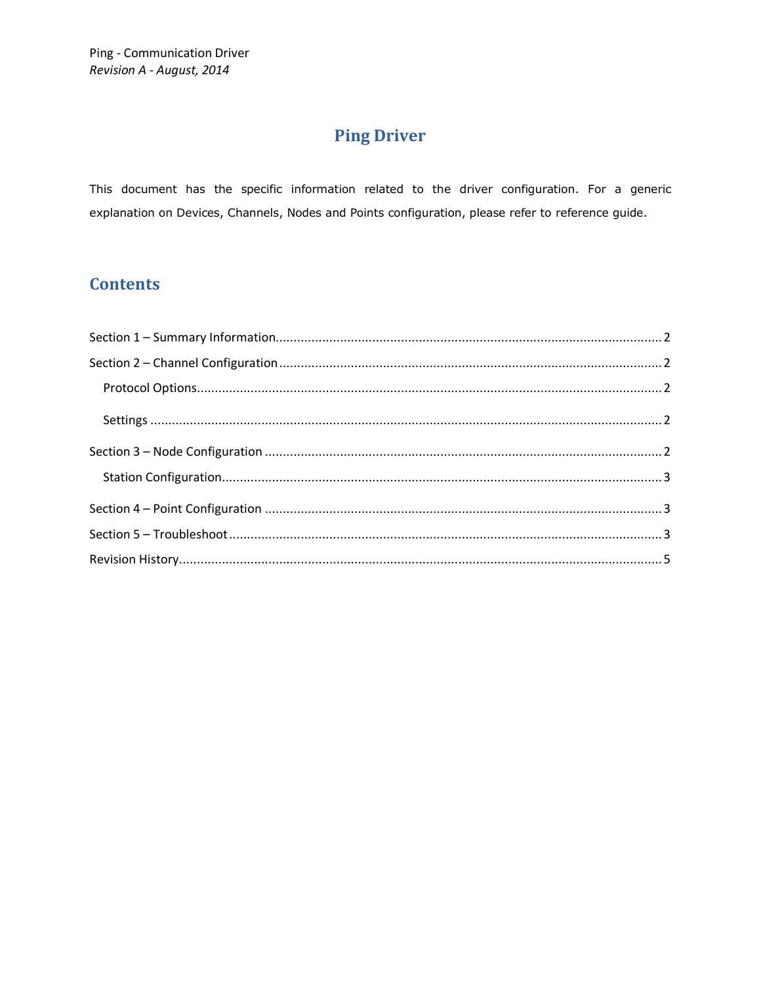## **Ping Driver**

This document has the specific information related to the driver configuration. For a generic explanation on Devices, Channels, Nodes and Points configuration, please refer to reference guide.

### **Contents**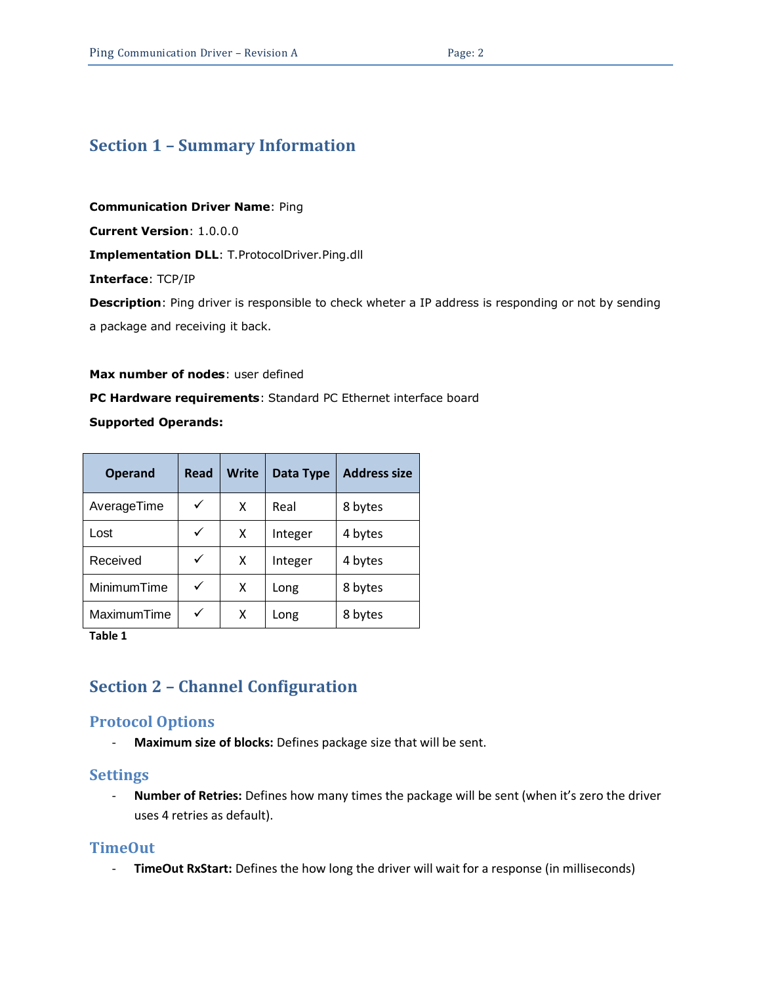### <span id="page-1-0"></span>**Section 1 – Summary Information**

**Communication Driver Name**: Ping

**Current Version**: 1.0.0.0

**Implementation DLL**: T.ProtocolDriver.Ping.dll

**Interface**: TCP/IP

**Description**: Ping driver is responsible to check wheter a IP address is responding or not by sending

a package and receiving it back.

# **Max number of nodes**: user defined **PC Hardware requirements**: Standard PC Ethernet interface board

#### **Supported Operands:**

| <b>Operand</b> | Read         | <b>Write</b> | Data Type | <b>Address size</b> |
|----------------|--------------|--------------|-----------|---------------------|
| AverageTime    | $\checkmark$ | X            | Real      | 8 bytes             |
| Lost           | $\checkmark$ | x            | Integer   | 4 bytes             |
| Received       | ✓            | x            | Integer   | 4 bytes             |
| MinimumTime    | $\checkmark$ | x            | Long      | 8 bytes             |
| MaximumTime    | $\checkmark$ | x            | Long      | 8 bytes             |

**Table 1**

### <span id="page-1-1"></span>**Section 2 – Channel Configuration**

#### <span id="page-1-2"></span>**Protocol Options**

- **Maximum size of blocks:** Defines package size that will be sent.

#### <span id="page-1-4"></span><span id="page-1-3"></span>**Settings**

- **Number of Retries:** Defines how many times the package will be sent (when it's zero the driver uses 4 retries as default).

#### **TimeOut**

- **TimeOut RxStart:** Defines the how long the driver will wait for a response (in milliseconds)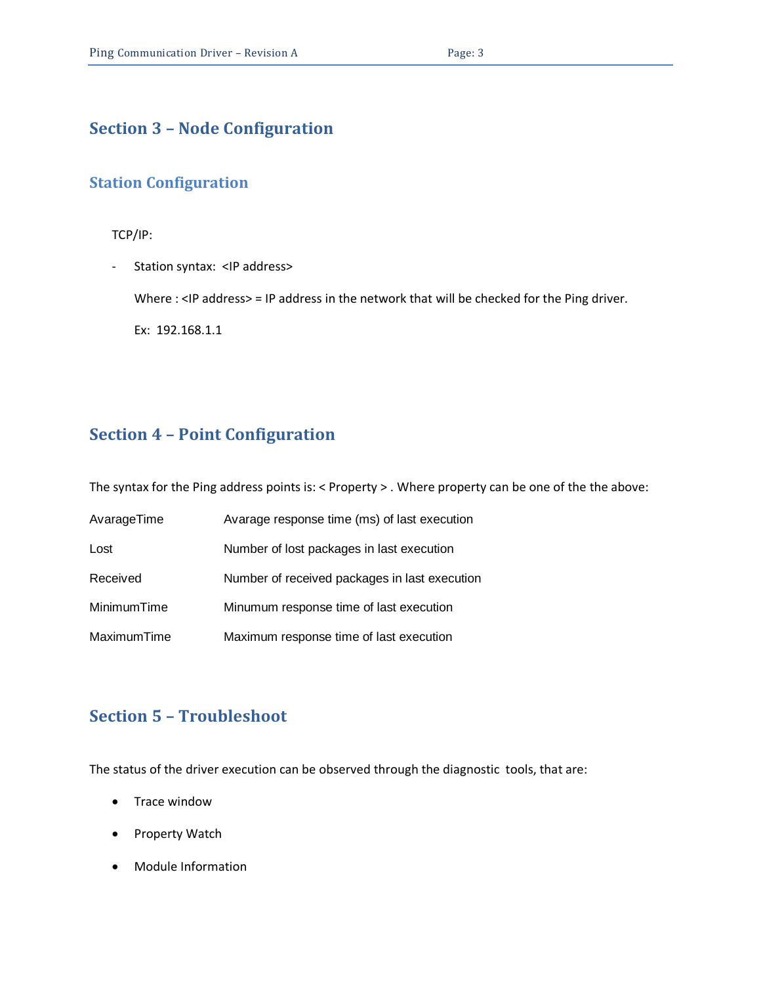### **Section 3 – Node Configuration**

### <span id="page-2-0"></span>**Station Configuration**

TCP/IP:

- Station syntax: <IP address>

Where : <IP address> = IP address in the network that will be checked for the Ping driver.

<span id="page-2-1"></span>Ex: 192.168.1.1

### **Section 4 – Point Configuration**

The syntax for the Ping address points is: < Property > . Where property can be one of the the above:

| AvarageTime | Avarage response time (ms) of last execution  |
|-------------|-----------------------------------------------|
| Lost        | Number of lost packages in last execution     |
| Received    | Number of received packages in last execution |
| MinimumTime | Minumum response time of last execution       |
| MaximumTime | Maximum response time of last execution       |

### <span id="page-2-2"></span>**Section 5 – Troubleshoot**

The status of the driver execution can be observed through the diagnostic tools, that are:

- Trace window
- Property Watch
- Module Information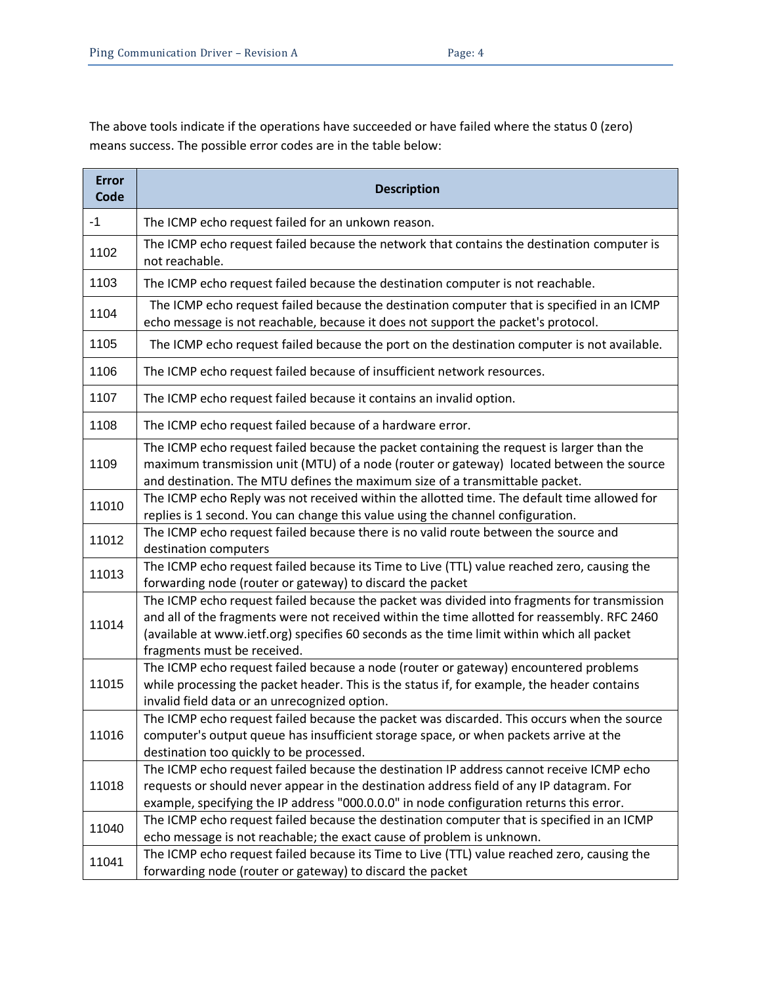The above tools indicate if the operations have succeeded or have failed where the status 0 (zero) means success. The possible error codes are in the table below:

| <b>Error</b><br>Code | <b>Description</b>                                                                                                                                                                                                                                                                                                       |  |  |  |
|----------------------|--------------------------------------------------------------------------------------------------------------------------------------------------------------------------------------------------------------------------------------------------------------------------------------------------------------------------|--|--|--|
| $-1$                 | The ICMP echo request failed for an unkown reason.                                                                                                                                                                                                                                                                       |  |  |  |
| 1102                 | The ICMP echo request failed because the network that contains the destination computer is<br>not reachable.                                                                                                                                                                                                             |  |  |  |
| 1103                 | The ICMP echo request failed because the destination computer is not reachable.                                                                                                                                                                                                                                          |  |  |  |
| 1104                 | The ICMP echo request failed because the destination computer that is specified in an ICMP<br>echo message is not reachable, because it does not support the packet's protocol.                                                                                                                                          |  |  |  |
| 1105                 | The ICMP echo request failed because the port on the destination computer is not available.                                                                                                                                                                                                                              |  |  |  |
| 1106                 | The ICMP echo request failed because of insufficient network resources.                                                                                                                                                                                                                                                  |  |  |  |
| 1107                 | The ICMP echo request failed because it contains an invalid option.                                                                                                                                                                                                                                                      |  |  |  |
| 1108                 | The ICMP echo request failed because of a hardware error.                                                                                                                                                                                                                                                                |  |  |  |
| 1109                 | The ICMP echo request failed because the packet containing the request is larger than the<br>maximum transmission unit (MTU) of a node (router or gateway) located between the source<br>and destination. The MTU defines the maximum size of a transmittable packet.                                                    |  |  |  |
| 11010                | The ICMP echo Reply was not received within the allotted time. The default time allowed for<br>replies is 1 second. You can change this value using the channel configuration.                                                                                                                                           |  |  |  |
| 11012                | The ICMP echo request failed because there is no valid route between the source and<br>destination computers                                                                                                                                                                                                             |  |  |  |
| 11013                | The ICMP echo request failed because its Time to Live (TTL) value reached zero, causing the<br>forwarding node (router or gateway) to discard the packet                                                                                                                                                                 |  |  |  |
| 11014                | The ICMP echo request failed because the packet was divided into fragments for transmission<br>and all of the fragments were not received within the time allotted for reassembly. RFC 2460<br>(available at www.ietf.org) specifies 60 seconds as the time limit within which all packet<br>fragments must be received. |  |  |  |
| 11015                | The ICMP echo request failed because a node (router or gateway) encountered problems<br>while processing the packet header. This is the status if, for example, the header contains<br>invalid field data or an unrecognized option.                                                                                     |  |  |  |
| 11016                | The ICMP echo request failed because the packet was discarded. This occurs when the source<br>computer's output queue has insufficient storage space, or when packets arrive at the<br>destination too quickly to be processed.                                                                                          |  |  |  |
| 11018                | The ICMP echo request failed because the destination IP address cannot receive ICMP echo<br>requests or should never appear in the destination address field of any IP datagram. For<br>example, specifying the IP address "000.0.0.0" in node configuration returns this error.                                         |  |  |  |
| 11040                | The ICMP echo request failed because the destination computer that is specified in an ICMP<br>echo message is not reachable; the exact cause of problem is unknown.                                                                                                                                                      |  |  |  |
| 11041                | The ICMP echo request failed because its Time to Live (TTL) value reached zero, causing the<br>forwarding node (router or gateway) to discard the packet                                                                                                                                                                 |  |  |  |